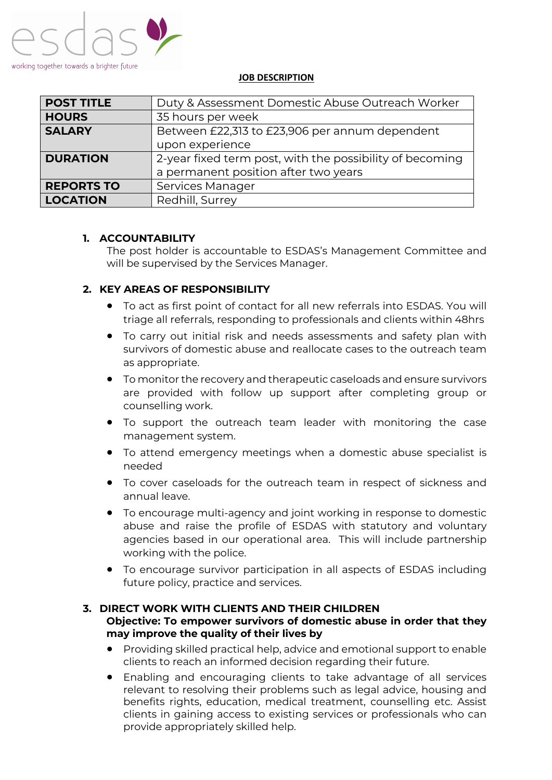

#### **JOB DESCRIPTION**

| <b>POST TITLE</b> | Duty & Assessment Domestic Abuse Outreach Worker         |  |
|-------------------|----------------------------------------------------------|--|
| <b>HOURS</b>      | 35 hours per week                                        |  |
| <b>SALARY</b>     | Between £22,313 to £23,906 per annum dependent           |  |
|                   | upon experience                                          |  |
| <b>DURATION</b>   | 2-year fixed term post, with the possibility of becoming |  |
|                   | a permanent position after two years                     |  |
| <b>REPORTS TO</b> | Services Manager                                         |  |
| <b>LOCATION</b>   | Redhill, Surrey                                          |  |

## **1. ACCOUNTABILITY**

The post holder is accountable to ESDAS's Management Committee and will be supervised by the Services Manager.

# **2. KEY AREAS OF RESPONSIBILITY**

- To act as first point of contact for all new referrals into ESDAS. You will triage all referrals, responding to professionals and clients within 48hrs
- To carry out initial risk and needs assessments and safety plan with survivors of domestic abuse and reallocate cases to the outreach team as appropriate.
- To monitor the recovery and therapeutic caseloads and ensure survivors are provided with follow up support after completing group or counselling work.
- To support the outreach team leader with monitoring the case management system.
- To attend emergency meetings when a domestic abuse specialist is needed
- To cover caseloads for the outreach team in respect of sickness and annual leave.
- To encourage multi-agency and joint working in response to domestic abuse and raise the profile of ESDAS with statutory and voluntary agencies based in our operational area. This will include partnership working with the police.
- To encourage survivor participation in all aspects of ESDAS including future policy, practice and services.

#### **3. DIRECT WORK WITH CLIENTS AND THEIR CHILDREN Objective: To empower survivors of domestic abuse in order that they may improve the quality of their lives by**

- Providing skilled practical help, advice and emotional support to enable clients to reach an informed decision regarding their future.
- Enabling and encouraging clients to take advantage of all services relevant to resolving their problems such as legal advice, housing and benefits rights, education, medical treatment, counselling etc. Assist clients in gaining access to existing services or professionals who can provide appropriately skilled help.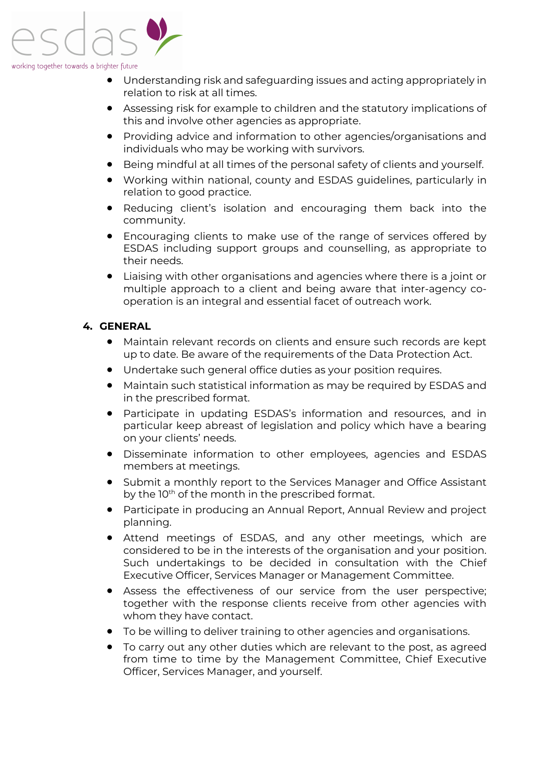

- Understanding risk and safeguarding issues and acting appropriately in relation to risk at all times.
- Assessing risk for example to children and the statutory implications of this and involve other agencies as appropriate.
- Providing advice and information to other agencies/organisations and individuals who may be working with survivors.
- Being mindful at all times of the personal safety of clients and yourself.
- Working within national, county and ESDAS guidelines, particularly in relation to good practice.
- Reducing client's isolation and encouraging them back into the community.
- Encouraging clients to make use of the range of services offered by ESDAS including support groups and counselling, as appropriate to their needs.
- Liaising with other organisations and agencies where there is a joint or multiple approach to a client and being aware that inter-agency cooperation is an integral and essential facet of outreach work.

## **4. GENERAL**

- Maintain relevant records on clients and ensure such records are kept up to date. Be aware of the requirements of the Data Protection Act.
- Undertake such general office duties as your position requires.
- Maintain such statistical information as may be required by ESDAS and in the prescribed format.
- Participate in updating ESDAS's information and resources, and in particular keep abreast of legislation and policy which have a bearing on your clients' needs.
- Disseminate information to other employees, agencies and ESDAS members at meetings.
- Submit a monthly report to the Services Manager and Office Assistant by the 10<sup>th</sup> of the month in the prescribed format.
- Participate in producing an Annual Report, Annual Review and project planning.
- Attend meetings of ESDAS, and any other meetings, which are considered to be in the interests of the organisation and your position. Such undertakings to be decided in consultation with the Chief Executive Officer, Services Manager or Management Committee.
- Assess the effectiveness of our service from the user perspective; together with the response clients receive from other agencies with whom they have contact.
- To be willing to deliver training to other agencies and organisations.
- To carry out any other duties which are relevant to the post, as agreed from time to time by the Management Committee, Chief Executive Officer, Services Manager, and yourself.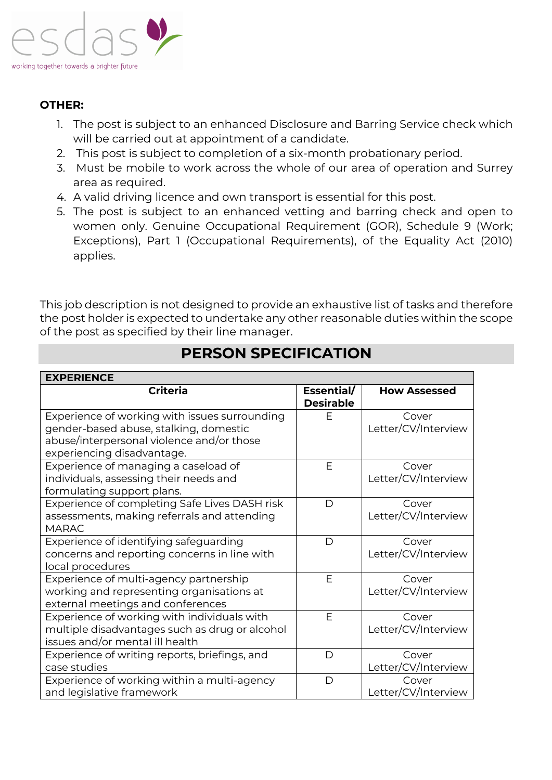

# **OTHER:**

- 1. The post is subject to an enhanced Disclosure and Barring Service check which will be carried out at appointment of a candidate.
- 2. This post is subject to completion of a six-month probationary period.
- 3. Must be mobile to work across the whole of our area of operation and Surrey area as required.
- 4. A valid driving licence and own transport is essential for this post.
- 5. The post is subject to an enhanced vetting and barring check and open to women only. Genuine Occupational Requirement (GOR), Schedule 9 (Work; Exceptions), Part 1 (Occupational Requirements), of the Equality Act (2010) applies.

This job description is not designed to provide an exhaustive list of tasks and therefore the post holder is expected to undertake any other reasonable duties within the scope of the post as specified by their line manager.

| <b>EXPERIENCE</b>                              |                                |                     |  |  |
|------------------------------------------------|--------------------------------|---------------------|--|--|
| <b>Criteria</b>                                | Essential/<br><b>Desirable</b> | <b>How Assessed</b> |  |  |
| Experience of working with issues surrounding  | F                              | Cover               |  |  |
| gender-based abuse, stalking, domestic         |                                | Letter/CV/Interview |  |  |
| abuse/interpersonal violence and/or those      |                                |                     |  |  |
| experiencing disadvantage.                     |                                |                     |  |  |
| Experience of managing a caseload of           | E                              | Cover               |  |  |
| individuals, assessing their needs and         |                                | Letter/CV/Interview |  |  |
| formulating support plans.                     |                                |                     |  |  |
| Experience of completing Safe Lives DASH risk  | D                              | Cover               |  |  |
| assessments, making referrals and attending    |                                | Letter/CV/Interview |  |  |
| <b>MARAC</b>                                   |                                |                     |  |  |
| Experience of identifying safeguarding         | D                              | Cover               |  |  |
| concerns and reporting concerns in line with   |                                | Letter/CV/Interview |  |  |
| local procedures                               |                                |                     |  |  |
| Experience of multi-agency partnership         | F                              | Cover               |  |  |
| working and representing organisations at      |                                | Letter/CV/Interview |  |  |
| external meetings and conferences              |                                |                     |  |  |
| Experience of working with individuals with    | F                              | Cover               |  |  |
| multiple disadvantages such as drug or alcohol |                                | Letter/CV/Interview |  |  |
| issues and/or mental ill health                |                                |                     |  |  |
| Experience of writing reports, briefings, and  | D                              | Cover               |  |  |
| case studies                                   |                                | Letter/CV/Interview |  |  |
| Experience of working within a multi-agency    | D                              | Cover               |  |  |
| and legislative framework                      |                                | Letter/CV/Interview |  |  |

# **PERSON SPECIFICATION**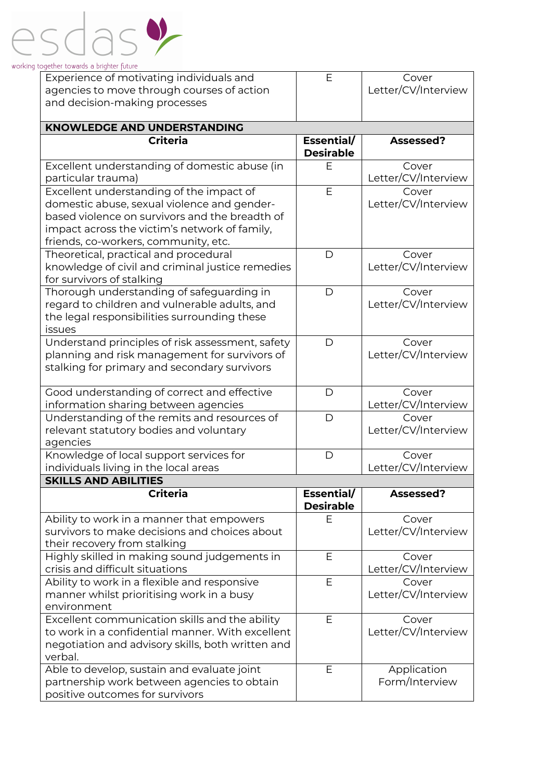| Experience of motivating individuals and                                             | Е                                  | Cover                        |  |  |  |  |
|--------------------------------------------------------------------------------------|------------------------------------|------------------------------|--|--|--|--|
| agencies to move through courses of action                                           |                                    | Letter/CV/Interview          |  |  |  |  |
| and decision-making processes                                                        |                                    |                              |  |  |  |  |
|                                                                                      |                                    |                              |  |  |  |  |
|                                                                                      | <b>KNOWLEDGE AND UNDERSTANDING</b> |                              |  |  |  |  |
| <b>Criteria</b>                                                                      | Essential/<br><b>Desirable</b>     | Assessed?                    |  |  |  |  |
| Excellent understanding of domestic abuse (in                                        | Е                                  | Cover                        |  |  |  |  |
| particular trauma)                                                                   |                                    | Letter/CV/Interview          |  |  |  |  |
| Excellent understanding of the impact of                                             | E                                  | Cover                        |  |  |  |  |
| domestic abuse, sexual violence and gender-                                          |                                    | Letter/CV/Interview          |  |  |  |  |
| based violence on survivors and the breadth of                                       |                                    |                              |  |  |  |  |
| impact across the victim's network of family,                                        |                                    |                              |  |  |  |  |
| friends, co-workers, community, etc.                                                 |                                    |                              |  |  |  |  |
| Theoretical, practical and procedural                                                | D                                  | Cover                        |  |  |  |  |
| knowledge of civil and criminal justice remedies                                     |                                    | Letter/CV/Interview          |  |  |  |  |
| for survivors of stalking                                                            |                                    |                              |  |  |  |  |
| Thorough understanding of safeguarding in                                            | D                                  | Cover                        |  |  |  |  |
| regard to children and vulnerable adults, and                                        |                                    | Letter/CV/Interview          |  |  |  |  |
| the legal responsibilities surrounding these                                         |                                    |                              |  |  |  |  |
| issues                                                                               |                                    |                              |  |  |  |  |
| Understand principles of risk assessment, safety                                     | D                                  | Cover                        |  |  |  |  |
| planning and risk management for survivors of                                        |                                    | Letter/CV/Interview          |  |  |  |  |
| stalking for primary and secondary survivors                                         |                                    |                              |  |  |  |  |
|                                                                                      |                                    |                              |  |  |  |  |
| Good understanding of correct and effective                                          | D                                  | Cover                        |  |  |  |  |
| information sharing between agencies<br>Understanding of the remits and resources of | D                                  | Letter/CV/Interview<br>Cover |  |  |  |  |
| relevant statutory bodies and voluntary                                              |                                    | Letter/CV/Interview          |  |  |  |  |
| agencies                                                                             |                                    |                              |  |  |  |  |
| Knowledge of local support services for                                              | D                                  | Cover                        |  |  |  |  |
| individuals living in the local areas                                                |                                    | Letter/CV/Interview          |  |  |  |  |
| <b>SKILLS AND ABILITIES</b>                                                          |                                    |                              |  |  |  |  |
| <b>Criteria</b>                                                                      | Essential/                         | Assessed?                    |  |  |  |  |
|                                                                                      | <b>Desirable</b>                   |                              |  |  |  |  |
| Ability to work in a manner that empowers                                            | Е                                  | Cover                        |  |  |  |  |
| survivors to make decisions and choices about                                        |                                    | Letter/CV/Interview          |  |  |  |  |
| their recovery from stalking                                                         |                                    |                              |  |  |  |  |
| Highly skilled in making sound judgements in                                         | E                                  | Cover                        |  |  |  |  |
| crisis and difficult situations                                                      |                                    | Letter/CV/Interview          |  |  |  |  |
| Ability to work in a flexible and responsive                                         | E                                  | Cover                        |  |  |  |  |
| manner whilst prioritising work in a busy                                            |                                    | Letter/CV/Interview          |  |  |  |  |
| environment                                                                          |                                    |                              |  |  |  |  |
| Excellent communication skills and the ability                                       | E                                  | Cover                        |  |  |  |  |
| to work in a confidential manner. With excellent                                     |                                    | Letter/CV/Interview          |  |  |  |  |
| negotiation and advisory skills, both written and                                    |                                    |                              |  |  |  |  |
| verbal.                                                                              |                                    |                              |  |  |  |  |
| Able to develop, sustain and evaluate joint                                          | Е                                  | Application                  |  |  |  |  |
| partnership work between agencies to obtain                                          |                                    | Form/Interview               |  |  |  |  |
| positive outcomes for survivors                                                      |                                    |                              |  |  |  |  |